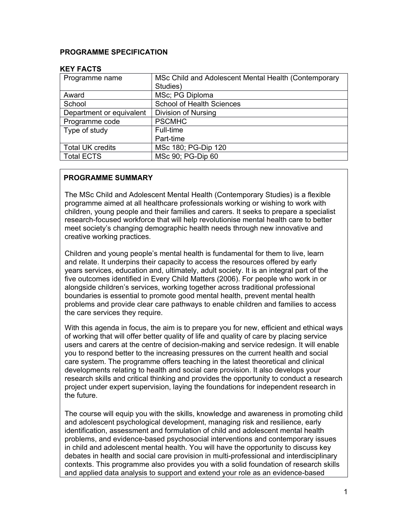### **PROGRAMME SPECIFICATION**

| MSc Child and Adolescent Mental Health (Contemporary |
|------------------------------------------------------|
| Studies)                                             |
| MSc; PG Diploma                                      |
| <b>School of Health Sciences</b>                     |
| <b>Division of Nursing</b>                           |
| <b>PSCMHC</b>                                        |
| Full-time                                            |
| Part-time                                            |
| MSc 180; PG-Dip 120                                  |
| MSc 90; PG-Dip 60                                    |
|                                                      |

#### **KEY FACTS**

# **PROGRAMME SUMMARY**

The MSc Child and Adolescent Mental Health (Contemporary Studies) is a flexible programme aimed at all healthcare professionals working or wishing to work with children, young people and their families and carers. It seeks to prepare a specialist research-focused workforce that will help revolutionise mental health care to better meet society's changing demographic health needs through new innovative and creative working practices.

Children and young people's mental health is fundamental for them to live, learn and relate. It underpins their capacity to access the resources offered by early years services, education and, ultimately, adult society. It is an integral part of the five outcomes identified in Every Child Matters (2006). For people who work in or alongside children's services, working together across traditional professional boundaries is essential to promote good mental health, prevent mental health problems and provide clear care pathways to enable children and families to access the care services they require.

With this agenda in focus, the aim is to prepare you for new, efficient and ethical ways of working that will offer better quality of life and quality of care by placing service users and carers at the centre of decision-making and service redesign. It will enable you to respond better to the increasing pressures on the current health and social care system. The programme offers teaching in the latest theoretical and clinical developments relating to health and social care provision. It also develops your research skills and critical thinking and provides the opportunity to conduct a research project under expert supervision, laying the foundations for independent research in the future.

The course will equip you with the skills, knowledge and awareness in promoting child and adolescent psychological development, managing risk and resilience, early identification, assessment and formulation of child and adolescent mental health problems, and evidence-based psychosocial interventions and contemporary issues in child and adolescent mental health. You will have the opportunity to discuss key debates in health and social care provision in multi-professional and interdisciplinary contexts. This programme also provides you with a solid foundation of research skills and applied data analysis to support and extend your role as an evidence-based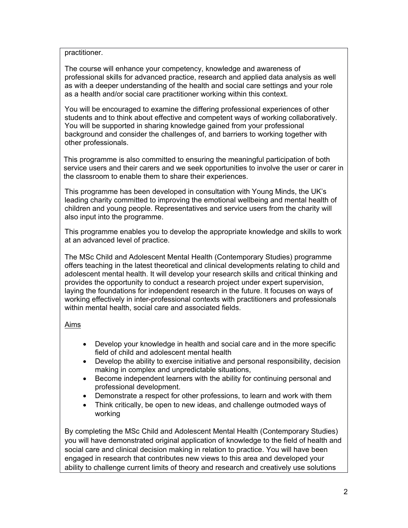practitioner.

The course will enhance your competency, knowledge and awareness of professional skills for advanced practice, research and applied data analysis as well as with a deeper understanding of the health and social care settings and your role as a health and/or social care practitioner working within this context.

You will be encouraged to examine the differing professional experiences of other students and to think about effective and competent ways of working collaboratively. You will be supported in sharing knowledge gained from your professional background and consider the challenges of, and barriers to working together with other professionals.

This programme is also committed to ensuring the meaningful participation of both service users and their carers and we seek opportunities to involve the user or carer in the classroom to enable them to share their experiences.

This programme has been developed in consultation with Young Minds, the UK's leading charity committed to improving the emotional wellbeing and mental health of children and young people. Representatives and service users from the charity will also input into the programme.

This programme enables you to develop the appropriate knowledge and skills to work at an advanced level of practice.

The MSc Child and Adolescent Mental Health (Contemporary Studies) programme offers teaching in the latest theoretical and clinical developments relating to child and adolescent mental health. It will develop your research skills and critical thinking and provides the opportunity to conduct a research project under expert supervision, laying the foundations for independent research in the future. It focuses on ways of working effectively in inter-professional contexts with practitioners and professionals within mental health, social care and associated fields.

# Aims

- Develop your knowledge in health and social care and in the more specific field of child and adolescent mental health
- Develop the ability to exercise initiative and personal responsibility, decision making in complex and unpredictable situations,
- Become independent learners with the ability for continuing personal and professional development.
- Demonstrate a respect for other professions, to learn and work with them
- Think critically, be open to new ideas, and challenge outmoded ways of working

By completing the MSc Child and Adolescent Mental Health (Contemporary Studies) you will have demonstrated original application of knowledge to the field of health and social care and clinical decision making in relation to practice. You will have been engaged in research that contributes new views to this area and developed your ability to challenge current limits of theory and research and creatively use solutions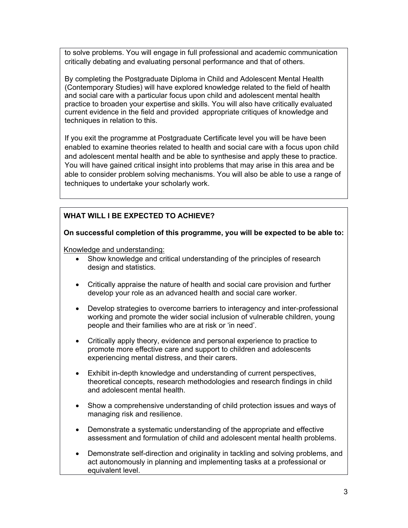to solve problems. You will engage in full professional and academic communication critically debating and evaluating personal performance and that of others.

By completing the Postgraduate Diploma in Child and Adolescent Mental Health (Contemporary Studies) will have explored knowledge related to the field of health and social care with a particular focus upon child and adolescent mental health practice to broaden your expertise and skills. You will also have critically evaluated current evidence in the field and provided appropriate critiques of knowledge and techniques in relation to this.

If you exit the programme at Postgraduate Certificate level you will be have been enabled to examine theories related to health and social care with a focus upon child and adolescent mental health and be able to synthesise and apply these to practice. You will have gained critical insight into problems that may arise in this area and be able to consider problem solving mechanisms. You will also be able to use a range of techniques to undertake your scholarly work.

# **WHAT WILL I BE EXPECTED TO ACHIEVE?**

**On successful completion of this programme, you will be expected to be able to:**

Knowledge and understanding:

- Show knowledge and critical understanding of the principles of research design and statistics.
- Critically appraise the nature of health and social care provision and further develop your role as an advanced health and social care worker.
- Develop strategies to overcome barriers to interagency and inter-professional working and promote the wider social inclusion of vulnerable children, young people and their families who are at risk or 'in need'.
- Critically apply theory, evidence and personal experience to practice to promote more effective care and support to children and adolescents experiencing mental distress, and their carers.
- Exhibit in-depth knowledge and understanding of current perspectives, theoretical concepts, research methodologies and research findings in child and adolescent mental health.
- Show a comprehensive understanding of child protection issues and ways of managing risk and resilience.
- Demonstrate a systematic understanding of the appropriate and effective assessment and formulation of child and adolescent mental health problems.
- Demonstrate self-direction and originality in tackling and solving problems, and act autonomously in planning and implementing tasks at a professional or equivalent level.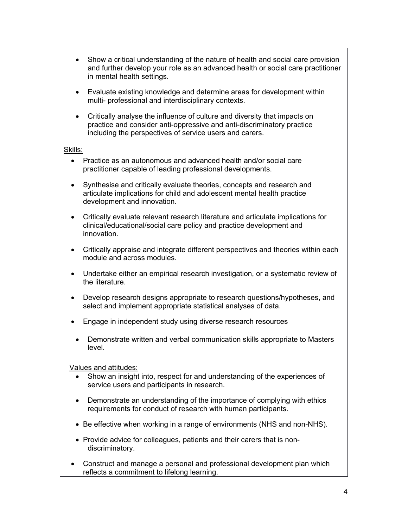- Show a critical understanding of the nature of health and social care provision and further develop your role as an advanced health or social care practitioner in mental health settings.
- Evaluate existing knowledge and determine areas for development within multi- professional and interdisciplinary contexts.
- Critically analyse the influence of culture and diversity that impacts on practice and consider anti-oppressive and anti-discriminatory practice including the perspectives of service users and carers.

#### Skills:

- Practice as an autonomous and advanced health and/or social care practitioner capable of leading professional developments.
- Synthesise and critically evaluate theories, concepts and research and articulate implications for child and adolescent mental health practice development and innovation.
- Critically evaluate relevant research literature and articulate implications for clinical/educational/social care policy and practice development and innovation.
- Critically appraise and integrate different perspectives and theories within each module and across modules.
- Undertake either an empirical research investigation, or a systematic review of the literature.
- Develop research designs appropriate to research questions/hypotheses, and select and implement appropriate statistical analyses of data.
- Engage in independent study using diverse research resources
- Demonstrate written and verbal communication skills appropriate to Masters level.

Values and attitudes:

- Show an insight into, respect for and understanding of the experiences of service users and participants in research.
- Demonstrate an understanding of the importance of complying with ethics requirements for conduct of research with human participants.
- Be effective when working in a range of environments (NHS and non-NHS).
- Provide advice for colleagues, patients and their carers that is nondiscriminatory.
- Construct and manage a personal and professional development plan which reflects a commitment to lifelong learning.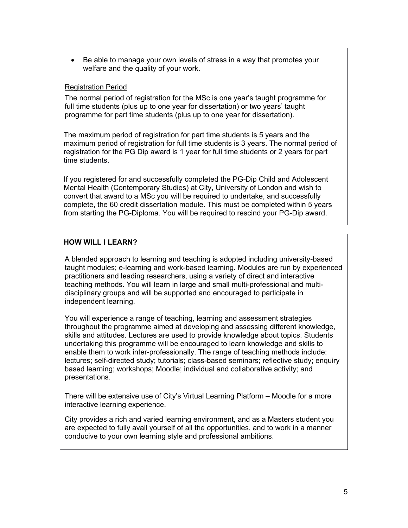• Be able to manage your own levels of stress in a way that promotes your welfare and the quality of your work.

### Registration Period

The normal period of registration for the MSc is one year's taught programme for full time students (plus up to one year for dissertation) or two years' taught programme for part time students (plus up to one year for dissertation).

The maximum period of registration for part time students is 5 years and the maximum period of registration for full time students is 3 years. The normal period of registration for the PG Dip award is 1 year for full time students or 2 years for part time students.

If you registered for and successfully completed the PG-Dip Child and Adolescent Mental Health (Contemporary Studies) at City, University of London and wish to convert that award to a MSc you will be required to undertake, and successfully complete, the 60 credit dissertation module. This must be completed within 5 years from starting the PG-Diploma. You will be required to rescind your PG-Dip award.

# **HOW WILL I LEARN?**

A blended approach to learning and teaching is adopted including university-based taught modules; e-learning and work-based learning. Modules are run by experienced practitioners and leading researchers, using a variety of direct and interactive teaching methods. You will learn in large and small multi-professional and multidisciplinary groups and will be supported and encouraged to participate in independent learning.

You will experience a range of teaching, learning and assessment strategies throughout the programme aimed at developing and assessing different knowledge, skills and attitudes. Lectures are used to provide knowledge about topics. Students undertaking this programme will be encouraged to learn knowledge and skills to enable them to work inter-professionally. The range of teaching methods include: lectures; self-directed study; tutorials; class-based seminars; reflective study; enquiry based learning; workshops; Moodle; individual and collaborative activity; and presentations.

There will be extensive use of City's Virtual Learning Platform – Moodle for a more interactive learning experience.

City provides a rich and varied learning environment, and as a Masters student you are expected to fully avail yourself of all the opportunities, and to work in a manner conducive to your own learning style and professional ambitions.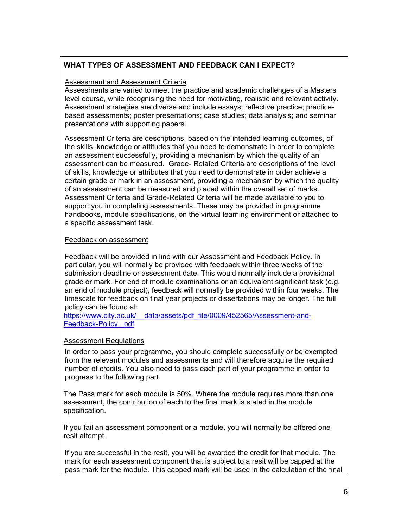# **WHAT TYPES OF ASSESSMENT AND FEEDBACK CAN I EXPECT?**

### Assessment and Assessment Criteria

Assessments are varied to meet the practice and academic challenges of a Masters level course, while recognising the need for motivating, realistic and relevant activity. Assessment strategies are diverse and include essays; reflective practice; practicebased assessments; poster presentations; case studies; data analysis; and seminar presentations with supporting papers.

Assessment Criteria are descriptions, based on the intended learning outcomes, of the skills, knowledge or attitudes that you need to demonstrate in order to complete an assessment successfully, providing a mechanism by which the quality of an assessment can be measured. Grade- Related Criteria are descriptions of the level of skills, knowledge or attributes that you need to demonstrate in order achieve a certain grade or mark in an assessment, providing a mechanism by which the quality of an assessment can be measured and placed within the overall set of marks. Assessment Criteria and Grade-Related Criteria will be made available to you to support you in completing assessments. These may be provided in programme handbooks, module specifications, on the virtual learning environment or attached to a specific assessment task*.*

### Feedback on assessment

Feedback will be provided in line with our Assessment and Feedback Policy. In particular, you will normally be provided with feedback within three weeks of the submission deadline or assessment date. This would normally include a provisional grade or mark. For end of module examinations or an equivalent significant task (e.g. an end of module project), feedback will normally be provided within four weeks. The timescale for feedback on final year projects or dissertations may be longer. The full policy can be found at:

https://www.city.ac.uk/ data/assets/pdf file/0009/452565/Assessment-and-[Feedback-Policy...pdf](https://www.city.ac.uk/__data/assets/pdf_file/0009/452565/Assessment-and-Feedback-Policy...pdf)

# Assessment Regulations

In order to pass your programme, you should complete successfully or be exempted from the relevant modules and assessments and will therefore acquire the required number of credits. You also need to pass each part of your programme in order to progress to the following part.

The Pass mark for each module is 50%. Where the module requires more than one assessment, the contribution of each to the final mark is stated in the module specification.

If you fail an assessment component or a module, you will normally be offered one resit attempt.

If you are successful in the resit, you will be awarded the credit for that module. The mark for each assessment component that is subject to a resit will be capped at the pass mark for the module. This capped mark will be used in the calculation of the final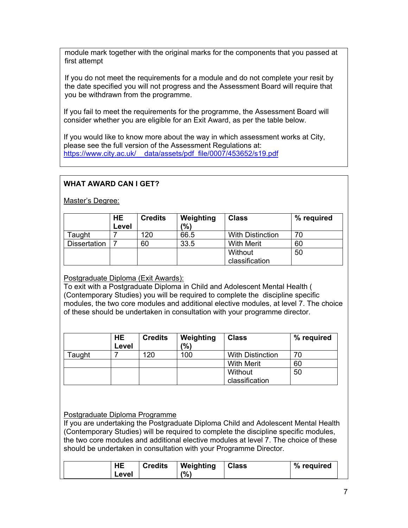module mark together with the original marks for the components that you passed at first attempt

If you do not meet the requirements for a module and do not complete your resit by the date specified you will not progress and the Assessment Board will require that you be withdrawn from the programme.

If you fail to meet the requirements for the programme, the Assessment Board will consider whether you are eligible for an Exit Award, as per the table below.

If you would like to know more about the way in which assessment works at City, please see the full version of the Assessment Regulations at: [https://www.city.ac.uk/\\_\\_data/assets/pdf\\_file/0007/453652/s19.pdf](https://www.city.ac.uk/__data/assets/pdf_file/0007/453652/s19.pdf)

# **WHAT AWARD CAN I GET?**

Master's Degree:

|                     | <b>HE</b><br>Level | <b>Credits</b> | Weighting<br>(%) | <b>Class</b>            | % required |
|---------------------|--------------------|----------------|------------------|-------------------------|------------|
| Taught              |                    | 120            | 66.5             | <b>With Distinction</b> | 70         |
| <b>Dissertation</b> |                    | 60             | 33.5             | <b>With Merit</b>       | 60         |
|                     |                    |                |                  | Without                 | 50         |
|                     |                    |                |                  | classification          |            |

### Postgraduate Diploma (Exit Awards):

To exit with a Postgraduate Diploma in Child and Adolescent Mental Health ( (Contemporary Studies) you will be required to complete the discipline specific modules, the two core modules and additional elective modules, at level 7. The choice of these should be undertaken in consultation with your programme director.

|                             | HE<br>Level | <b>Credits</b> | Weighting<br>(9) | <b>Class</b>            | % required |
|-----------------------------|-------------|----------------|------------------|-------------------------|------------|
| $\mathsf{r}_\mathsf{aught}$ |             | 120            | 100              | <b>With Distinction</b> | 70         |
|                             |             |                |                  | <b>With Merit</b>       | 60         |
|                             |             |                |                  | Without                 | 50         |
|                             |             |                |                  | classification          |            |

### Postgraduate Diploma Programme

If you are undertaking the Postgraduate Diploma Child and Adolescent Mental Health (Contemporary Studies) will be required to complete the discipline specific modules, the two core modules and additional elective modules at level 7. The choice of these should be undertaken in consultation with your Programme Director.

| HE    | <b>Credits</b> | Weighting | <b>Class</b> | % required |
|-------|----------------|-----------|--------------|------------|
| Level |                | (%)       |              |            |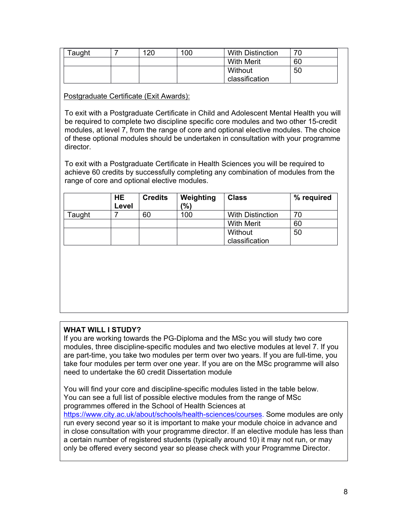| $\sf {ra}$ uqht | 120 | 100 | <b>With Distinction</b> | 70 |
|-----------------|-----|-----|-------------------------|----|
|                 |     |     | <b>With Merit</b>       | 60 |
|                 |     |     | Without                 | 50 |
|                 |     |     | classification          |    |

### Postgraduate Certificate (Exit Awards):

To exit with a Postgraduate Certificate in Child and Adolescent Mental Health you will be required to complete two discipline specific core modules and two other 15-credit modules, at level 7, from the range of core and optional elective modules. The choice of these optional modules should be undertaken in consultation with your programme director.

To exit with a Postgraduate Certificate in Health Sciences you will be required to achieve 60 credits by successfully completing any combination of modules from the range of core and optional elective modules.

|                | HE<br>Level | <b>Credits</b> | Weighting<br>$\frac{10}{6}$ | <b>Class</b>            | % required |
|----------------|-------------|----------------|-----------------------------|-------------------------|------------|
| $\sf{r}$ aught |             | 60             | 100                         | <b>With Distinction</b> | 70         |
|                |             |                |                             | <b>With Merit</b>       | 60         |
|                |             |                |                             | Without                 | 50         |
|                |             |                |                             | classification          |            |

# **WHAT WILL I STUDY?**

If you are working towards the PG-Diploma and the MSc you will study two core modules, three discipline-specific modules and two elective modules at level 7. If you are part-time, you take two modules per term over two years. If you are full-time, you take four modules per term over one year. If you are on the MSc programme will also need to undertake the 60 credit Dissertation module

You will find your core and discipline-specific modules listed in the table below. You can see a full list of possible elective modules from the range of MSc programmes offered in the School of Health Sciences at [https://www.city.ac.uk/about/schools/health-sciences/courses.](https://www.city.ac.uk/about/schools/health-sciences/courses) Some modules are only run every second year so it is important to make your module choice in advance and in close consultation with your programme director. If an elective module has less than a certain number of registered students (typically around 10) it may not run, or may only be offered every second year so please check with your Programme Director.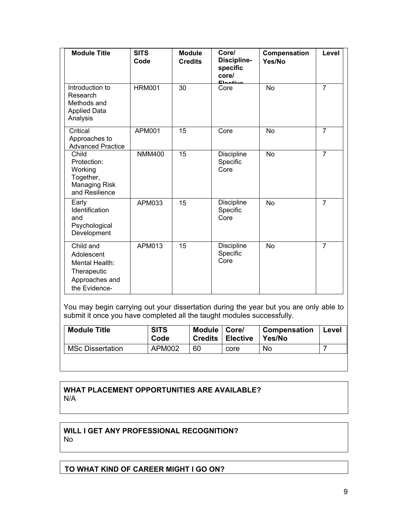| <b>Module Title</b>                                                                         | <b>SITS</b><br>Code | <b>Module</b><br><b>Credits</b> | Core/<br>Discipline-<br>specific<br>core/<br>Elective | Compensation<br>Yes/No | Level          |
|---------------------------------------------------------------------------------------------|---------------------|---------------------------------|-------------------------------------------------------|------------------------|----------------|
| Introduction to<br>Research<br>Methods and<br><b>Applied Data</b><br>Analysis               | <b>HRM001</b>       | 30                              | Core                                                  | No                     | $\overline{7}$ |
| Critical<br>Approaches to<br><b>Advanced Practice</b>                                       | APM001              | 15                              | Core                                                  | <b>No</b>              | $\overline{7}$ |
| Child<br>Protection:<br>Working<br>Together,<br><b>Managing Risk</b><br>and Resilience      | <b>NMM400</b>       | 15                              | <b>Discipline</b><br>Specific<br>Core                 | <b>No</b>              | $\overline{7}$ |
| Early<br>Identification<br>and<br>Psychological<br>Development                              | APM033              | 15                              | <b>Discipline</b><br>Specific<br>Core                 | <b>No</b>              | $\overline{7}$ |
| Child and<br>Adolescent<br>Mental Health:<br>Therapeutic<br>Approaches and<br>the Evidence- | APM013              | 15                              | Discipline<br>Specific<br>Core                        | <b>No</b>              | $\overline{7}$ |

You may begin carrying out your dissertation during the year but you are only able to submit it once you have completed all the taught modules successfully.

| <b>Module Title</b>     | <b>SITS</b><br>Code | Module   Core/<br><b>Credits</b> | <b>∣Elective</b> | Compensation<br>Yes/No | Level |
|-------------------------|---------------------|----------------------------------|------------------|------------------------|-------|
| <b>MSc Dissertation</b> | APM002              | 60                               | core             | No                     |       |

### **WHAT PLACEMENT OPPORTUNITIES ARE AVAILABLE?** N/A

### **WILL I GET ANY PROFESSIONAL RECOGNITION?** No

# **TO WHAT KIND OF CAREER MIGHT I GO ON?**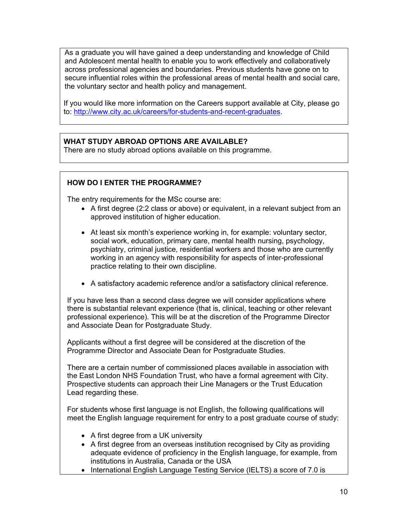As a graduate you will have gained a deep understanding and knowledge of Child and Adolescent mental health to enable you to work effectively and collaboratively across professional agencies and boundaries. Previous students have gone on to secure influential roles within the professional areas of mental health and social care, the voluntary sector and health policy and management.

If you would like more information on the Careers support available at City, please go to: [http://www.city.ac.uk/careers/for-students-and-recent-graduates.](http://www.city.ac.uk/careers/for-students-and-recent-graduates)

### **WHAT STUDY ABROAD OPTIONS ARE AVAILABLE?**

There are no study abroad options available on this programme.

### **HOW DO I ENTER THE PROGRAMME?**

The entry requirements for the MSc course are:

- A first degree (2:2 class or above) or equivalent, in a relevant subject from an approved institution of higher education.
- At least six month's experience working in, for example: voluntary sector, social work, education, primary care, mental health nursing, psychology, psychiatry, criminal justice, residential workers and those who are currently working in an agency with responsibility for aspects of inter-professional practice relating to their own discipline.
- A satisfactory academic reference and/or a satisfactory clinical reference.

If you have less than a second class degree we will consider applications where there is substantial relevant experience (that is, clinical, teaching or other relevant professional experience). This will be at the discretion of the Programme Director and Associate Dean for Postgraduate Study.

Applicants without a first degree will be considered at the discretion of the Programme Director and Associate Dean for Postgraduate Studies.

There are a certain number of commissioned places available in association with the East London NHS Foundation Trust, who have a formal agreement with City. Prospective students can approach their Line Managers or the Trust Education Lead regarding these.

For students whose first language is not English, the following qualifications will meet the English language requirement for entry to a post graduate course of study:

- A first degree from a UK university
- A first degree from an overseas institution recognised by City as providing adequate evidence of proficiency in the English language, for example, from institutions in Australia, Canada or the USA
- International English Language Testing Service (IELTS) a score of 7.0 is